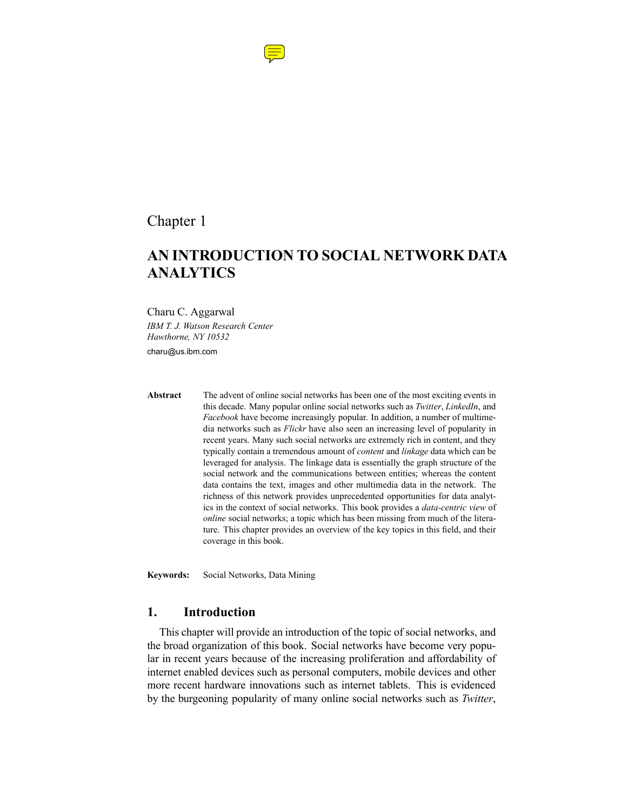

# **AN INTRODUCTION TO SOCIAL NETWORK DATA ANALYTICS**

Charu C. Aggarwal *IBM T. J. Watson Research Center Hawthorne, NY 10532*

charu@us.ibm.com

**Abstract** The advent of online social networks has been one of the most exciting events in this decade. Many popular online social networks such as *Twitter*, *LinkedIn*, and *Facebook* have become increasingly popular. In addition, a number of multimedia networks such as *Flickr* have also seen an increasing level of popularity in recent years. Many such social networks are extremely rich in content, and they typically contain a tremendous amount of *content* and *linkage* data which can be leveraged for analysis. The linkage data is essentially the graph structure of the social network and the communications between entities; whereas the content data contains the text, images and other multimedia data in the network. The richness of this network provides unprecedented opportunities for data analytics in the context of social networks. This book provides a *data-centric view* of *online* social networks; a topic which has been missing from much of the literature. This chapter provides an overview of the key topics in this field, and their coverage in this book.

**Keywords:** Social Networks, Data Mining

# **1. Introduction**

This chapter will provide an introduction of the topic of social networks, and the broad organization of this book. Social networks have become very popular in recent years because of the increasing proliferation and affordability of internet enabled devices such as personal computers, mobile devices and other more recent hardware innovations such as internet tablets. This is evidenced by the burgeoning popularity of many online social networks such as *Twitter*,

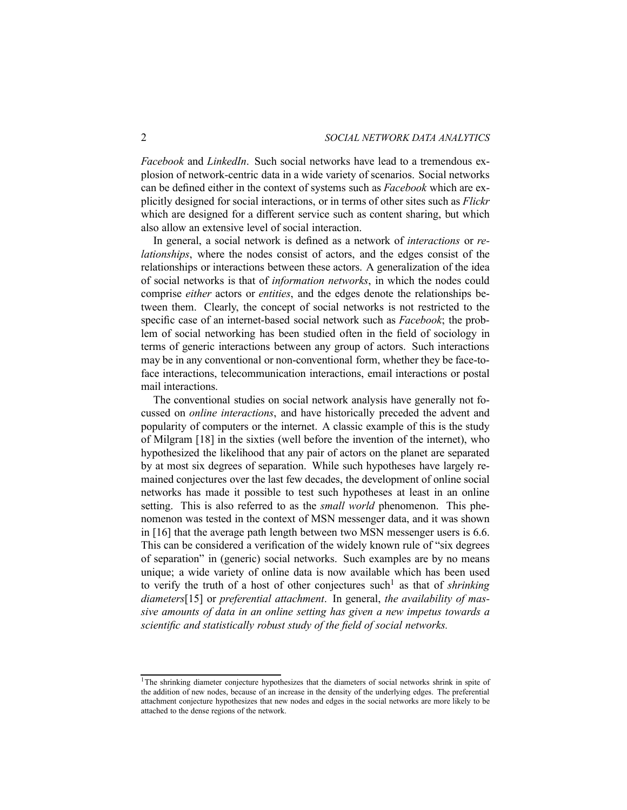*Facebook* and *LinkedIn*. Such social networks have lead to a tremendous explosion of network-centric data in a wide variety of scenarios. Social networks can be defined either in the context of systems such as *Facebook* which are explicitly designed for social interactions, or in terms of other sites such as *Flickr* which are designed for a different service such as content sharing, but which also allow an extensive level of social interaction.

In general, a social network is defined as a network of *interactions* or *relationships*, where the nodes consist of actors, and the edges consist of the relationships or interactions between these actors. A generalization of the idea of social networks is that of *information networks*, in which the nodes could comprise *either* actors or *entities*, and the edges denote the relationships between them. Clearly, the concept of social networks is not restricted to the specific case of an internet-based social network such as *Facebook*; the problem of social networking has been studied often in the field of sociology in terms of generic interactions between any group of actors. Such interactions may be in any conventional or non-conventional form, whether they be face-toface interactions, telecommunication interactions, email interactions or postal mail interactions.

The conventional studies on social network analysis have generally not focussed on *online interactions*, and have historically preceded the advent and popularity of computers or the internet. A classic example of this is the study of Milgram [18] in the sixties (well before the invention of the internet), who hypothesized the likelihood that any pair of actors on the planet are separated by at most six degrees of separation. While such hypotheses have largely remained conjectures over the last few decades, the development of online social networks has made it possible to test such hypotheses at least in an online setting. This is also referred to as the *small world* phenomenon. This phenomenon was tested in the context of MSN messenger data, and it was shown in [16] that the average path length between two MSN messenger users is 6.6. This can be considered a verification of the widely known rule of "six degrees of separation" in (generic) social networks. Such examples are by no means unique; a wide variety of online data is now available which has been used to verify the truth of a host of other conjectures such<sup>1</sup> as that of *shrinking diameters*[15] or *preferential attachment*. In general, *the availability of massive amounts of data in an online setting has given a new impetus towards a scientific and statistically robust study of the field of social networks.*

<sup>&</sup>lt;sup>1</sup>The shrinking diameter conjecture hypothesizes that the diameters of social networks shrink in spite of the addition of new nodes, because of an increase in the density of the underlying edges. The preferential attachment conjecture hypothesizes that new nodes and edges in the social networks are more likely to be attached to the dense regions of the network.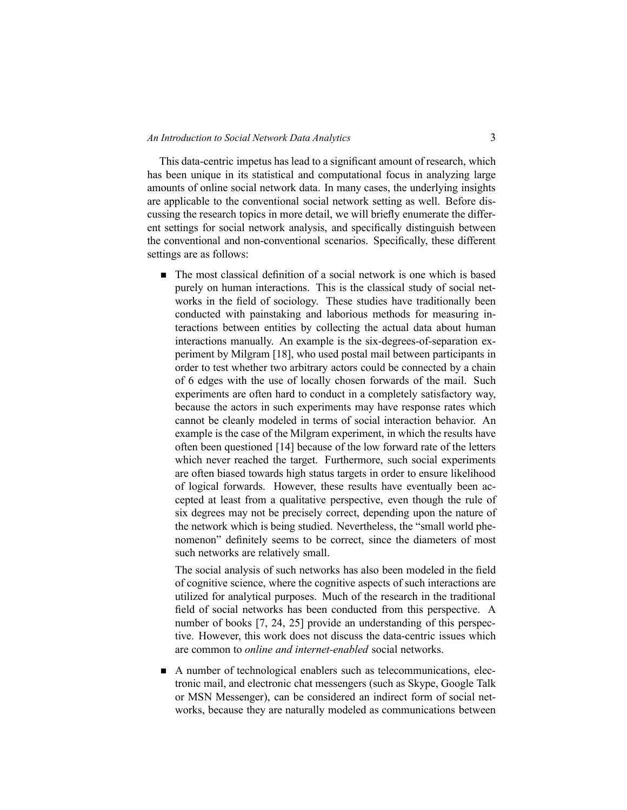#### *An Introduction to Social Network Data Analytics* 3

This data-centric impetus has lead to a significant amount of research, which has been unique in its statistical and computational focus in analyzing large amounts of online social network data. In many cases, the underlying insights are applicable to the conventional social network setting as well. Before discussing the research topics in more detail, we will briefly enumerate the different settings for social network analysis, and specifically distinguish between the conventional and non-conventional scenarios. Specifically, these different settings are as follows:

■ The most classical definition of a social network is one which is based purely on human interactions. This is the classical study of social networks in the field of sociology. These studies have traditionally been conducted with painstaking and laborious methods for measuring interactions between entities by collecting the actual data about human interactions manually. An example is the six-degrees-of-separation experiment by Milgram [18], who used postal mail between participants in order to test whether two arbitrary actors could be connected by a chain of 6 edges with the use of locally chosen forwards of the mail. Such experiments are often hard to conduct in a completely satisfactory way, because the actors in such experiments may have response rates which cannot be cleanly modeled in terms of social interaction behavior. An example is the case of the Milgram experiment, in which the results have often been questioned [14] because of the low forward rate of the letters which never reached the target. Furthermore, such social experiments are often biased towards high status targets in order to ensure likelihood of logical forwards. However, these results have eventually been accepted at least from a qualitative perspective, even though the rule of six degrees may not be precisely correct, depending upon the nature of the network which is being studied. Nevertheless, the "small world phenomenon" definitely seems to be correct, since the diameters of most such networks are relatively small.

The social analysis of such networks has also been modeled in the field of cognitive science, where the cognitive aspects of such interactions are utilized for analytical purposes. Much of the research in the traditional field of social networks has been conducted from this perspective. A number of books [7, 24, 25] provide an understanding of this perspective. However, this work does not discuss the data-centric issues which are common to *online and internet-enabled* social networks.

A number of technological enablers such as telecommunications, electronic mail, and electronic chat messengers (such as Skype, Google Talk or MSN Messenger), can be considered an indirect form of social networks, because they are naturally modeled as communications between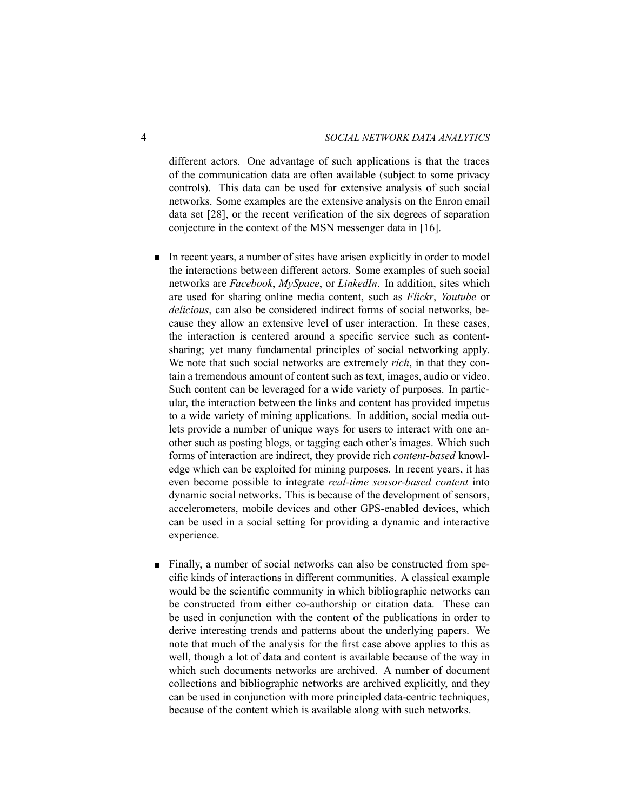different actors. One advantage of such applications is that the traces of the communication data are often available (subject to some privacy controls). This data can be used for extensive analysis of such social networks. Some examples are the extensive analysis on the Enron email data set [28], or the recent verification of the six degrees of separation conjecture in the context of the MSN messenger data in [16].

- $\blacksquare$ In recent years, a number of sites have arisen explicitly in order to model the interactions between different actors. Some examples of such social networks are *Facebook*, *MySpace*, or *LinkedIn*. In addition, sites which are used for sharing online media content, such as *Flickr*, *Youtube* or *delicious*, can also be considered indirect forms of social networks, because they allow an extensive level of user interaction. In these cases, the interaction is centered around a specific service such as contentsharing; yet many fundamental principles of social networking apply. We note that such social networks are extremely *rich*, in that they contain a tremendous amount of content such as text, images, audio or video. Such content can be leveraged for a wide variety of purposes. In particular, the interaction between the links and content has provided impetus to a wide variety of mining applications. In addition, social media outlets provide a number of unique ways for users to interact with one another such as posting blogs, or tagging each other's images. Which such forms of interaction are indirect, they provide rich *content-based* knowledge which can be exploited for mining purposes. In recent years, it has even become possible to integrate *real-time sensor-based content* into dynamic social networks. This is because of the development of sensors, accelerometers, mobile devices and other GPS-enabled devices, which can be used in a social setting for providing a dynamic and interactive experience.
- Finally, a number of social networks can also be constructed from specific kinds of interactions in different communities. A classical example would be the scientific community in which bibliographic networks can be constructed from either co-authorship or citation data. These can be used in conjunction with the content of the publications in order to derive interesting trends and patterns about the underlying papers. We note that much of the analysis for the first case above applies to this as well, though a lot of data and content is available because of the way in which such documents networks are archived. A number of document collections and bibliographic networks are archived explicitly, and they can be used in conjunction with more principled data-centric techniques, because of the content which is available along with such networks.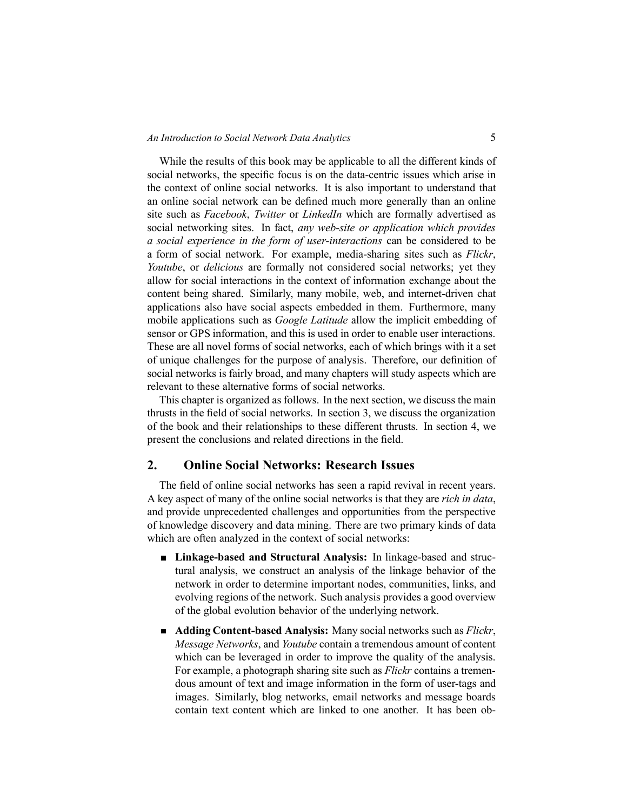#### *An Introduction to Social Network Data Analytics* 5

While the results of this book may be applicable to all the different kinds of social networks, the specific focus is on the data-centric issues which arise in the context of online social networks. It is also important to understand that an online social network can be defined much more generally than an online site such as *Facebook*, *Twitter* or *LinkedIn* which are formally advertised as social networking sites. In fact, *any web-site or application which provides a social experience in the form of user-interactions* can be considered to be a form of social network. For example, media-sharing sites such as *Flickr*, *Youtube*, or *delicious* are formally not considered social networks; yet they allow for social interactions in the context of information exchange about the content being shared. Similarly, many mobile, web, and internet-driven chat applications also have social aspects embedded in them. Furthermore, many mobile applications such as *Google Latitude* allow the implicit embedding of sensor or GPS information, and this is used in order to enable user interactions. These are all novel forms of social networks, each of which brings with it a set of unique challenges for the purpose of analysis. Therefore, our definition of social networks is fairly broad, and many chapters will study aspects which are relevant to these alternative forms of social networks.

This chapter is organized as follows. In the next section, we discuss the main thrusts in the field of social networks. In section 3, we discuss the organization of the book and their relationships to these different thrusts. In section 4, we present the conclusions and related directions in the field.

### **2. Online Social Networks: Research Issues**

The field of online social networks has seen a rapid revival in recent years. A key aspect of many of the online social networks is that they are *rich in data*, and provide unprecedented challenges and opportunities from the perspective of knowledge discovery and data mining. There are two primary kinds of data which are often analyzed in the context of social networks:

- **Linkage-based and Structural Analysis:** In linkage-based and structural analysis, we construct an analysis of the linkage behavior of the network in order to determine important nodes, communities, links, and evolving regions of the network. Such analysis provides a good overview of the global evolution behavior of the underlying network.
- **Adding Content-based Analysis:** Many social networks such as *Flickr*, *Message Networks*, and *Youtube* contain a tremendous amount of content which can be leveraged in order to improve the quality of the analysis. For example, a photograph sharing site such as *Flickr* contains a tremendous amount of text and image information in the form of user-tags and images. Similarly, blog networks, email networks and message boards contain text content which are linked to one another. It has been ob-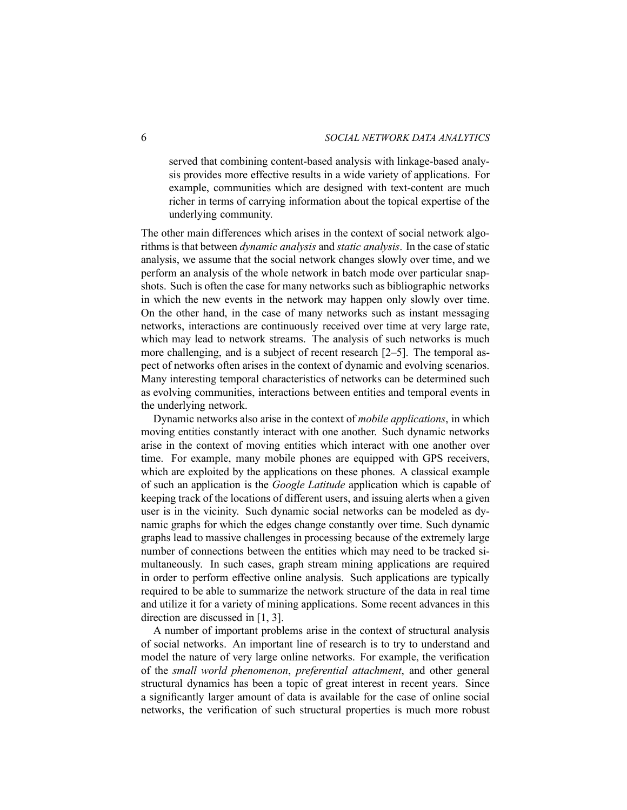served that combining content-based analysis with linkage-based analysis provides more effective results in a wide variety of applications. For example, communities which are designed with text-content are much richer in terms of carrying information about the topical expertise of the underlying community.

The other main differences which arises in the context of social network algorithms is that between *dynamic analysis* and *static analysis*. In the case of static analysis, we assume that the social network changes slowly over time, and we perform an analysis of the whole network in batch mode over particular snapshots. Such is often the case for many networks such as bibliographic networks in which the new events in the network may happen only slowly over time. On the other hand, in the case of many networks such as instant messaging networks, interactions are continuously received over time at very large rate, which may lead to network streams. The analysis of such networks is much more challenging, and is a subject of recent research [2–5]. The temporal aspect of networks often arises in the context of dynamic and evolving scenarios. Many interesting temporal characteristics of networks can be determined such as evolving communities, interactions between entities and temporal events in the underlying network.

Dynamic networks also arise in the context of *mobile applications*, in which moving entities constantly interact with one another. Such dynamic networks arise in the context of moving entities which interact with one another over time. For example, many mobile phones are equipped with GPS receivers, which are exploited by the applications on these phones. A classical example of such an application is the *Google Latitude* application which is capable of keeping track of the locations of different users, and issuing alerts when a given user is in the vicinity. Such dynamic social networks can be modeled as dynamic graphs for which the edges change constantly over time. Such dynamic graphs lead to massive challenges in processing because of the extremely large number of connections between the entities which may need to be tracked simultaneously. In such cases, graph stream mining applications are required in order to perform effective online analysis. Such applications are typically required to be able to summarize the network structure of the data in real time and utilize it for a variety of mining applications. Some recent advances in this direction are discussed in [1, 3].

A number of important problems arise in the context of structural analysis of social networks. An important line of research is to try to understand and model the nature of very large online networks. For example, the verification of the *small world phenomenon*, *preferential attachment*, and other general structural dynamics has been a topic of great interest in recent years. Since a significantly larger amount of data is available for the case of online social networks, the verification of such structural properties is much more robust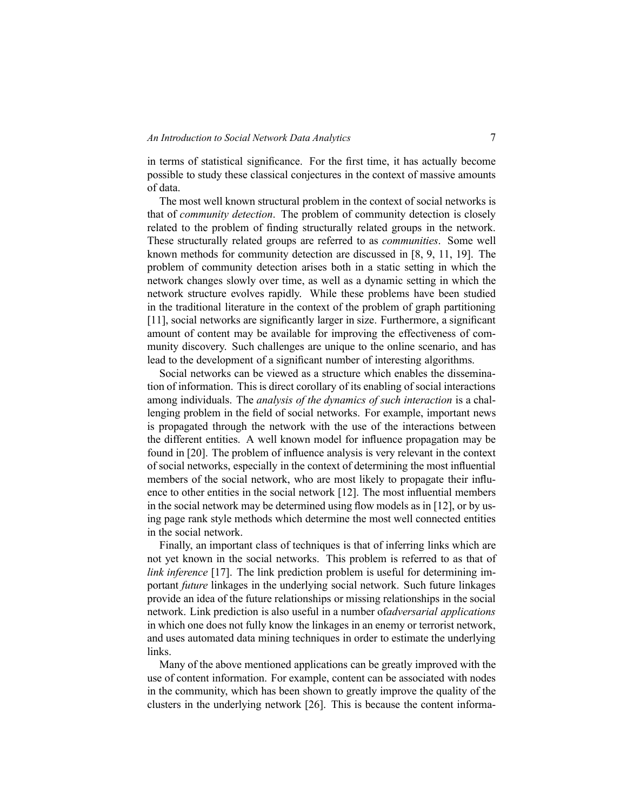in terms of statistical significance. For the first time, it has actually become possible to study these classical conjectures in the context of massive amounts of data.

The most well known structural problem in the context of social networks is that of *community detection*. The problem of community detection is closely related to the problem of finding structurally related groups in the network. These structurally related groups are referred to as *communities*. Some well known methods for community detection are discussed in [8, 9, 11, 19]. The problem of community detection arises both in a static setting in which the network changes slowly over time, as well as a dynamic setting in which the network structure evolves rapidly. While these problems have been studied in the traditional literature in the context of the problem of graph partitioning [11], social networks are significantly larger in size. Furthermore, a significant amount of content may be available for improving the effectiveness of community discovery. Such challenges are unique to the online scenario, and has lead to the development of a significant number of interesting algorithms.

Social networks can be viewed as a structure which enables the dissemination of information. This is direct corollary of its enabling of social interactions among individuals. The *analysis of the dynamics of such interaction* is a challenging problem in the field of social networks. For example, important news is propagated through the network with the use of the interactions between the different entities. A well known model for influence propagation may be found in [20]. The problem of influence analysis is very relevant in the context of social networks, especially in the context of determining the most influential members of the social network, who are most likely to propagate their influence to other entities in the social network [12]. The most influential members in the social network may be determined using flow models as in [12], or by using page rank style methods which determine the most well connected entities in the social network.

Finally, an important class of techniques is that of inferring links which are not yet known in the social networks. This problem is referred to as that of *link inference* [17]. The link prediction problem is useful for determining important *future* linkages in the underlying social network. Such future linkages provide an idea of the future relationships or missing relationships in the social network. Link prediction is also useful in a number of*adversarial applications* in which one does not fully know the linkages in an enemy or terrorist network, and uses automated data mining techniques in order to estimate the underlying links.

Many of the above mentioned applications can be greatly improved with the use of content information. For example, content can be associated with nodes in the community, which has been shown to greatly improve the quality of the clusters in the underlying network [26]. This is because the content informa-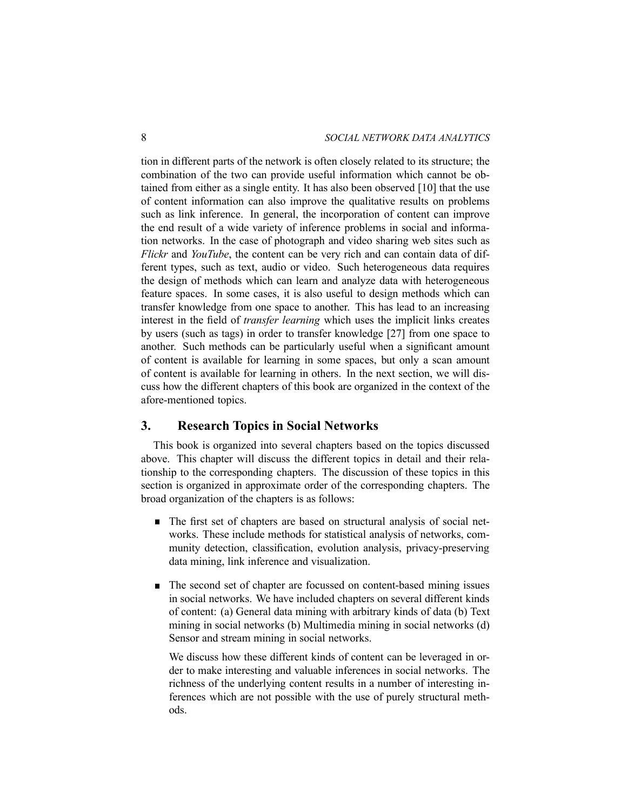tion in different parts of the network is often closely related to its structure; the combination of the two can provide useful information which cannot be obtained from either as a single entity. It has also been observed [10] that the use of content information can also improve the qualitative results on problems such as link inference. In general, the incorporation of content can improve the end result of a wide variety of inference problems in social and information networks. In the case of photograph and video sharing web sites such as *Flickr* and *YouTube*, the content can be very rich and can contain data of different types, such as text, audio or video. Such heterogeneous data requires the design of methods which can learn and analyze data with heterogeneous feature spaces. In some cases, it is also useful to design methods which can transfer knowledge from one space to another. This has lead to an increasing interest in the field of *transfer learning* which uses the implicit links creates by users (such as tags) in order to transfer knowledge [27] from one space to another. Such methods can be particularly useful when a significant amount of content is available for learning in some spaces, but only a scan amount of content is available for learning in others. In the next section, we will discuss how the different chapters of this book are organized in the context of the afore-mentioned topics.

#### **3. Research Topics in Social Networks**

This book is organized into several chapters based on the topics discussed above. This chapter will discuss the different topics in detail and their relationship to the corresponding chapters. The discussion of these topics in this section is organized in approximate order of the corresponding chapters. The broad organization of the chapters is as follows:

- The first set of chapters are based on structural analysis of social networks. These include methods for statistical analysis of networks, community detection, classification, evolution analysis, privacy-preserving data mining, link inference and visualization.
- The second set of chapter are focussed on content-based mining issues in social networks. We have included chapters on several different kinds of content: (a) General data mining with arbitrary kinds of data (b) Text mining in social networks (b) Multimedia mining in social networks (d) Sensor and stream mining in social networks.

We discuss how these different kinds of content can be leveraged in order to make interesting and valuable inferences in social networks. The richness of the underlying content results in a number of interesting inferences which are not possible with the use of purely structural methods.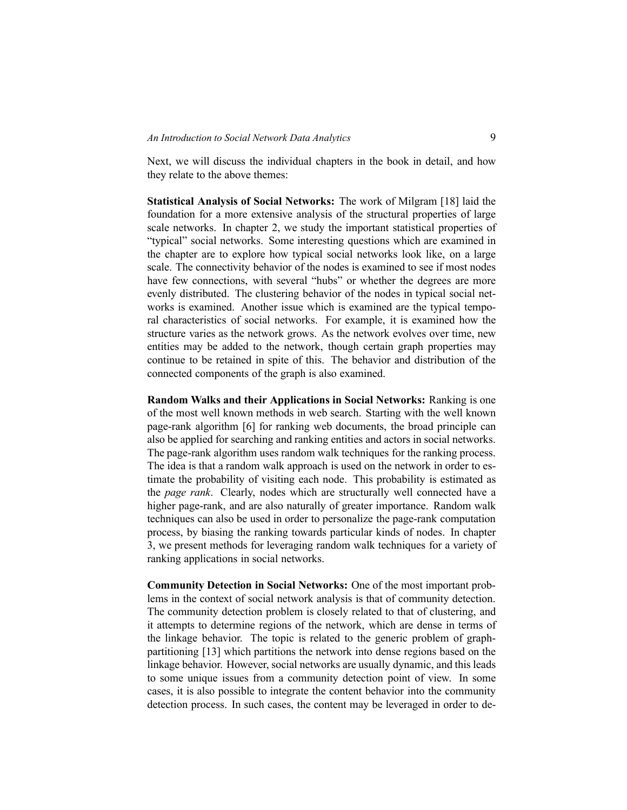Next, we will discuss the individual chapters in the book in detail, and how they relate to the above themes:

**Statistical Analysis of Social Networks:** The work of Milgram [18] laid the foundation for a more extensive analysis of the structural properties of large scale networks. In chapter 2, we study the important statistical properties of "typical" social networks. Some interesting questions which are examined in the chapter are to explore how typical social networks look like, on a large scale. The connectivity behavior of the nodes is examined to see if most nodes have few connections, with several "hubs" or whether the degrees are more evenly distributed. The clustering behavior of the nodes in typical social networks is examined. Another issue which is examined are the typical temporal characteristics of social networks. For example, it is examined how the structure varies as the network grows. As the network evolves over time, new entities may be added to the network, though certain graph properties may continue to be retained in spite of this. The behavior and distribution of the connected components of the graph is also examined.

**Random Walks and their Applications in Social Networks:** Ranking is one of the most well known methods in web search. Starting with the well known page-rank algorithm [6] for ranking web documents, the broad principle can also be applied for searching and ranking entities and actors in social networks. The page-rank algorithm uses random walk techniques for the ranking process. The idea is that a random walk approach is used on the network in order to estimate the probability of visiting each node. This probability is estimated as the *page rank*. Clearly, nodes which are structurally well connected have a higher page-rank, and are also naturally of greater importance. Random walk techniques can also be used in order to personalize the page-rank computation process, by biasing the ranking towards particular kinds of nodes. In chapter 3, we present methods for leveraging random walk techniques for a variety of ranking applications in social networks.

**Community Detection in Social Networks:** One of the most important problems in the context of social network analysis is that of community detection. The community detection problem is closely related to that of clustering, and it attempts to determine regions of the network, which are dense in terms of the linkage behavior. The topic is related to the generic problem of graphpartitioning [13] which partitions the network into dense regions based on the linkage behavior. However, social networks are usually dynamic, and this leads to some unique issues from a community detection point of view. In some cases, it is also possible to integrate the content behavior into the community detection process. In such cases, the content may be leveraged in order to de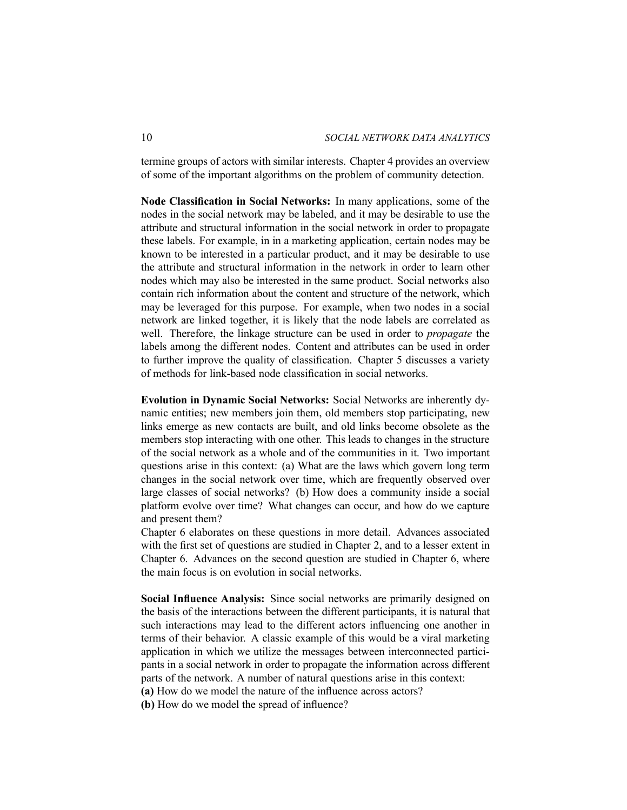termine groups of actors with similar interests. Chapter 4 provides an overview of some of the important algorithms on the problem of community detection.

**Node Classification in Social Networks:** In many applications, some of the nodes in the social network may be labeled, and it may be desirable to use the attribute and structural information in the social network in order to propagate these labels. For example, in in a marketing application, certain nodes may be known to be interested in a particular product, and it may be desirable to use the attribute and structural information in the network in order to learn other nodes which may also be interested in the same product. Social networks also contain rich information about the content and structure of the network, which may be leveraged for this purpose. For example, when two nodes in a social network are linked together, it is likely that the node labels are correlated as well. Therefore, the linkage structure can be used in order to *propagate* the labels among the different nodes. Content and attributes can be used in order to further improve the quality of classification. Chapter 5 discusses a variety of methods for link-based node classification in social networks.

**Evolution in Dynamic Social Networks:** Social Networks are inherently dynamic entities; new members join them, old members stop participating, new links emerge as new contacts are built, and old links become obsolete as the members stop interacting with one other. This leads to changes in the structure of the social network as a whole and of the communities in it. Two important questions arise in this context: (a) What are the laws which govern long term changes in the social network over time, which are frequently observed over large classes of social networks? (b) How does a community inside a social platform evolve over time? What changes can occur, and how do we capture and present them?

Chapter 6 elaborates on these questions in more detail. Advances associated with the first set of questions are studied in Chapter 2, and to a lesser extent in Chapter 6. Advances on the second question are studied in Chapter 6, where the main focus is on evolution in social networks.

**Social Influence Analysis:** Since social networks are primarily designed on the basis of the interactions between the different participants, it is natural that such interactions may lead to the different actors influencing one another in terms of their behavior. A classic example of this would be a viral marketing application in which we utilize the messages between interconnected participants in a social network in order to propagate the information across different parts of the network. A number of natural questions arise in this context: **(a)** How do we model the nature of the influence across actors?

**(b)** How do we model the spread of influence?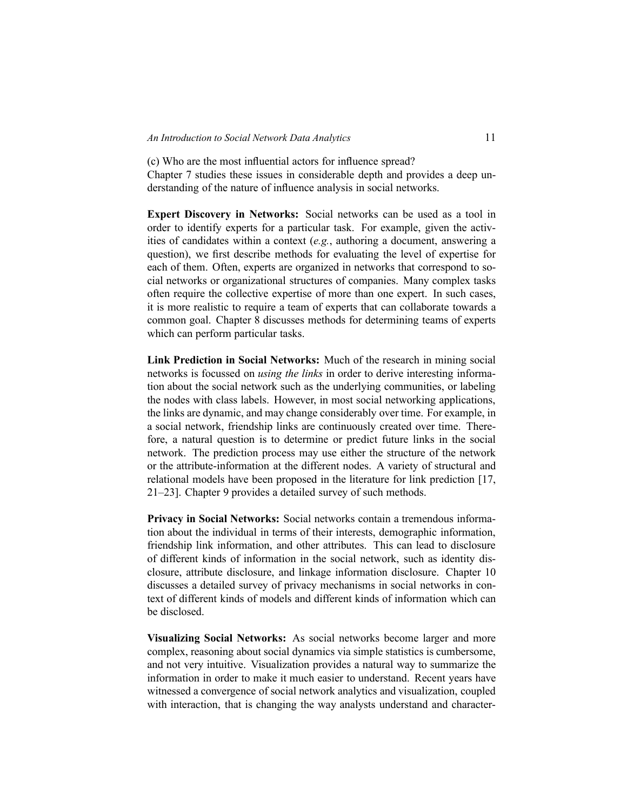(c) Who are the most influential actors for influence spread? Chapter 7 studies these issues in considerable depth and provides a deep understanding of the nature of influence analysis in social networks.

**Expert Discovery in Networks:** Social networks can be used as a tool in order to identify experts for a particular task. For example, given the activities of candidates within a context (*e.g.*, authoring a document, answering a question), we first describe methods for evaluating the level of expertise for each of them. Often, experts are organized in networks that correspond to social networks or organizational structures of companies. Many complex tasks often require the collective expertise of more than one expert. In such cases, it is more realistic to require a team of experts that can collaborate towards a common goal. Chapter 8 discusses methods for determining teams of experts which can perform particular tasks.

**Link Prediction in Social Networks:** Much of the research in mining social networks is focussed on *using the links* in order to derive interesting information about the social network such as the underlying communities, or labeling the nodes with class labels. However, in most social networking applications, the links are dynamic, and may change considerably over time. For example, in a social network, friendship links are continuously created over time. Therefore, a natural question is to determine or predict future links in the social network. The prediction process may use either the structure of the network or the attribute-information at the different nodes. A variety of structural and relational models have been proposed in the literature for link prediction [17, 21–23]. Chapter 9 provides a detailed survey of such methods.

**Privacy in Social Networks:** Social networks contain a tremendous information about the individual in terms of their interests, demographic information, friendship link information, and other attributes. This can lead to disclosure of different kinds of information in the social network, such as identity disclosure, attribute disclosure, and linkage information disclosure. Chapter 10 discusses a detailed survey of privacy mechanisms in social networks in context of different kinds of models and different kinds of information which can be disclosed.

**Visualizing Social Networks:** As social networks become larger and more complex, reasoning about social dynamics via simple statistics is cumbersome, and not very intuitive. Visualization provides a natural way to summarize the information in order to make it much easier to understand. Recent years have witnessed a convergence of social network analytics and visualization, coupled with interaction, that is changing the way analysts understand and character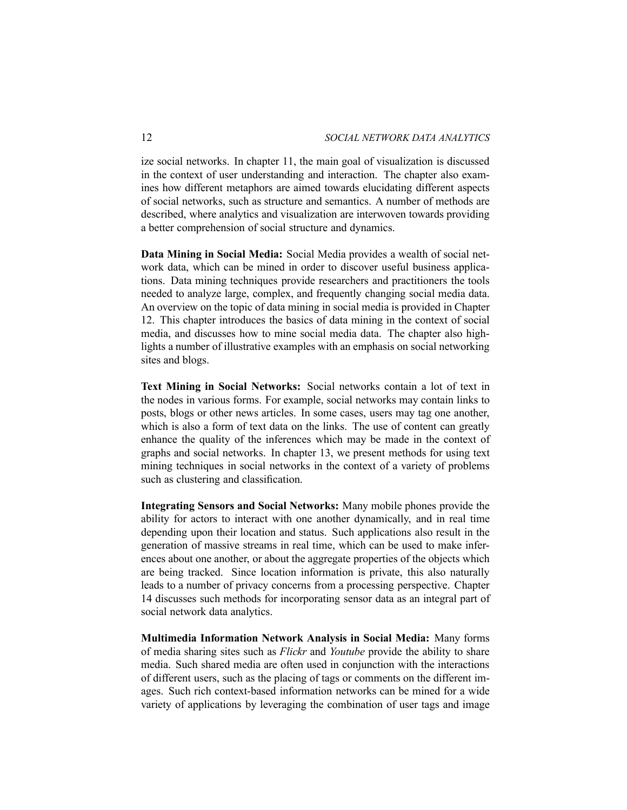ize social networks. In chapter 11, the main goal of visualization is discussed in the context of user understanding and interaction. The chapter also examines how different metaphors are aimed towards elucidating different aspects of social networks, such as structure and semantics. A number of methods are described, where analytics and visualization are interwoven towards providing a better comprehension of social structure and dynamics.

**Data Mining in Social Media:** Social Media provides a wealth of social network data, which can be mined in order to discover useful business applications. Data mining techniques provide researchers and practitioners the tools needed to analyze large, complex, and frequently changing social media data. An overview on the topic of data mining in social media is provided in Chapter 12. This chapter introduces the basics of data mining in the context of social media, and discusses how to mine social media data. The chapter also highlights a number of illustrative examples with an emphasis on social networking sites and blogs.

**Text Mining in Social Networks:** Social networks contain a lot of text in the nodes in various forms. For example, social networks may contain links to posts, blogs or other news articles. In some cases, users may tag one another, which is also a form of text data on the links. The use of content can greatly enhance the quality of the inferences which may be made in the context of graphs and social networks. In chapter 13, we present methods for using text mining techniques in social networks in the context of a variety of problems such as clustering and classification.

**Integrating Sensors and Social Networks:** Many mobile phones provide the ability for actors to interact with one another dynamically, and in real time depending upon their location and status. Such applications also result in the generation of massive streams in real time, which can be used to make inferences about one another, or about the aggregate properties of the objects which are being tracked. Since location information is private, this also naturally leads to a number of privacy concerns from a processing perspective. Chapter 14 discusses such methods for incorporating sensor data as an integral part of social network data analytics.

**Multimedia Information Network Analysis in Social Media:** Many forms of media sharing sites such as *Flickr* and *Youtube* provide the ability to share media. Such shared media are often used in conjunction with the interactions of different users, such as the placing of tags or comments on the different images. Such rich context-based information networks can be mined for a wide variety of applications by leveraging the combination of user tags and image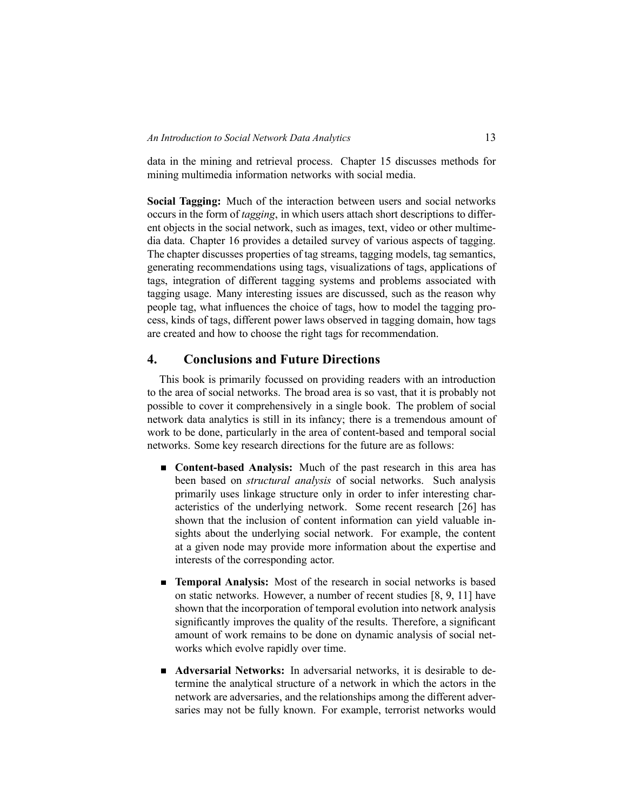data in the mining and retrieval process. Chapter 15 discusses methods for mining multimedia information networks with social media.

**Social Tagging:** Much of the interaction between users and social networks occurs in the form of *tagging*, in which users attach short descriptions to different objects in the social network, such as images, text, video or other multimedia data. Chapter 16 provides a detailed survey of various aspects of tagging. The chapter discusses properties of tag streams, tagging models, tag semantics, generating recommendations using tags, visualizations of tags, applications of tags, integration of different tagging systems and problems associated with tagging usage. Many interesting issues are discussed, such as the reason why people tag, what influences the choice of tags, how to model the tagging process, kinds of tags, different power laws observed in tagging domain, how tags are created and how to choose the right tags for recommendation.

# **4. Conclusions and Future Directions**

This book is primarily focussed on providing readers with an introduction to the area of social networks. The broad area is so vast, that it is probably not possible to cover it comprehensively in a single book. The problem of social network data analytics is still in its infancy; there is a tremendous amount of work to be done, particularly in the area of content-based and temporal social networks. Some key research directions for the future are as follows:

- **Content-based Analysis:** Much of the past research in this area has been based on *structural analysis* of social networks. Such analysis primarily uses linkage structure only in order to infer interesting characteristics of the underlying network. Some recent research [26] has shown that the inclusion of content information can yield valuable insights about the underlying social network. For example, the content at a given node may provide more information about the expertise and interests of the corresponding actor.
- **Temporal Analysis:** Most of the research in social networks is based on static networks. However, a number of recent studies [8, 9, 11] have shown that the incorporation of temporal evolution into network analysis significantly improves the quality of the results. Therefore, a significant amount of work remains to be done on dynamic analysis of social networks which evolve rapidly over time.
- **Adversarial Networks:** In adversarial networks, it is desirable to determine the analytical structure of a network in which the actors in the network are adversaries, and the relationships among the different adversaries may not be fully known. For example, terrorist networks would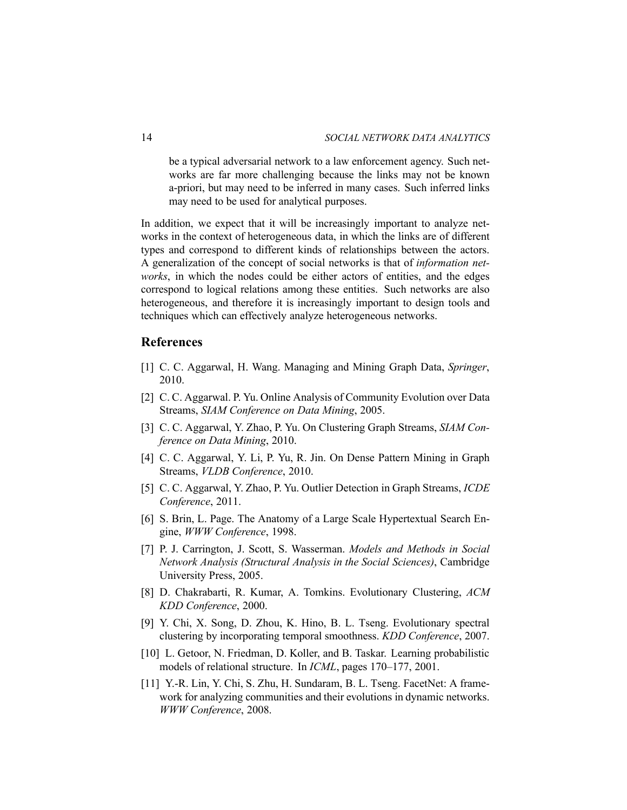be a typical adversarial network to a law enforcement agency. Such networks are far more challenging because the links may not be known a-priori, but may need to be inferred in many cases. Such inferred links may need to be used for analytical purposes.

In addition, we expect that it will be increasingly important to analyze networks in the context of heterogeneous data, in which the links are of different types and correspond to different kinds of relationships between the actors. A generalization of the concept of social networks is that of *information networks*, in which the nodes could be either actors of entities, and the edges correspond to logical relations among these entities. Such networks are also heterogeneous, and therefore it is increasingly important to design tools and techniques which can effectively analyze heterogeneous networks.

## **References**

- [1] C. C. Aggarwal, H. Wang. Managing and Mining Graph Data, *Springer*, 2010.
- [2] C. C. Aggarwal. P. Yu. Online Analysis of Community Evolution over Data Streams, *SIAM Conference on Data Mining*, 2005.
- [3] C. C. Aggarwal, Y. Zhao, P. Yu. On Clustering Graph Streams, *SIAM Conference on Data Mining*, 2010.
- [4] C. C. Aggarwal, Y. Li, P. Yu, R. Jin. On Dense Pattern Mining in Graph Streams, *VLDB Conference*, 2010.
- [5] C. C. Aggarwal, Y. Zhao, P. Yu. Outlier Detection in Graph Streams, *ICDE Conference*, 2011.
- [6] S. Brin, L. Page. The Anatomy of a Large Scale Hypertextual Search Engine, *WWW Conference*, 1998.
- [7] P. J. Carrington, J. Scott, S. Wasserman. *Models and Methods in Social Network Analysis (Structural Analysis in the Social Sciences)*, Cambridge University Press, 2005.
- [8] D. Chakrabarti, R. Kumar, A. Tomkins. Evolutionary Clustering, *ACM KDD Conference*, 2000.
- [9] Y. Chi, X. Song, D. Zhou, K. Hino, B. L. Tseng. Evolutionary spectral clustering by incorporating temporal smoothness. *KDD Conference*, 2007.
- [10] L. Getoor, N. Friedman, D. Koller, and B. Taskar. Learning probabilistic models of relational structure. In *ICML*, pages 170–177, 2001.
- [11] Y.-R. Lin, Y. Chi, S. Zhu, H. Sundaram, B. L. Tseng. FacetNet: A framework for analyzing communities and their evolutions in dynamic networks. *WWW Conference*, 2008.